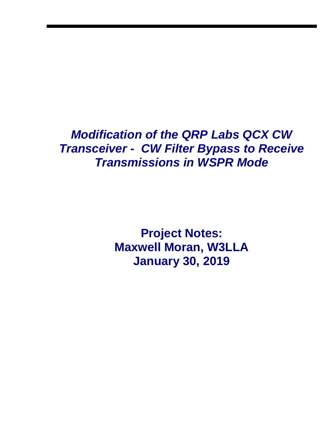## *Modification of the QRP Labs QCX CW Transceiver - CW Filter Bypass to Receive Transmissions in WSPR Mode*

**Project Notes: Maxwell Moran, W3LLA January 30, 2019**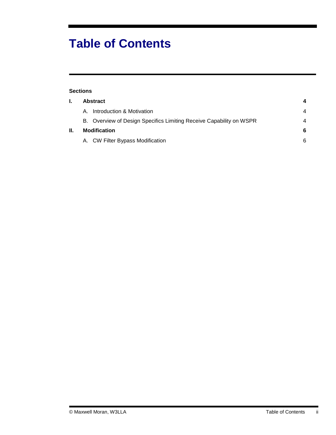# **Table of Contents**

| <b>Sections</b> |                     |                                                                     |   |
|-----------------|---------------------|---------------------------------------------------------------------|---|
| L.              | <b>Abstract</b>     |                                                                     | 4 |
|                 | A                   | Introduction & Motivation                                           | 4 |
|                 |                     | B. Overview of Design Specifics Limiting Receive Capability on WSPR | 4 |
| Ш.              | <b>Modification</b> |                                                                     | 6 |
|                 |                     | A. CW Filter Bypass Modification                                    | 6 |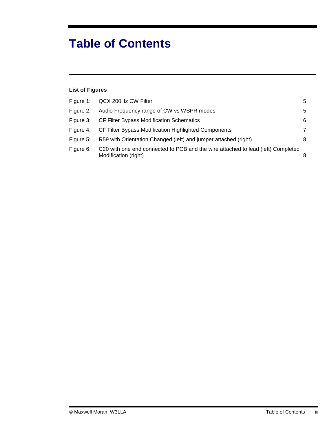# **Table of Contents**

### **List of Figures**

|           | Figure 1: QCX 200Hz CW Filter                                                                            | 5              |
|-----------|----------------------------------------------------------------------------------------------------------|----------------|
| Figure 2: | Audio Frequency range of CW vs WSPR modes                                                                | 5              |
|           | Figure 3: CF Filter Bypass Modification Schematics                                                       | 6              |
|           | Figure 4: CF Filter Bypass Modification Highlighted Components                                           | $\overline{7}$ |
| Figure 5: | R59 with Orientation Changed (left) and jumper attached (right)                                          | 8              |
| Figure 6: | C20 with one end connected to PCB and the wire attached to lead (left) Completed<br>Modification (right) |                |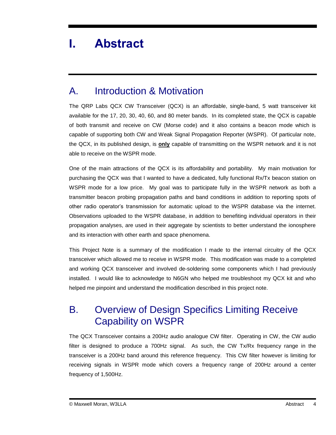## <span id="page-3-0"></span>**I. Abstract**

### <span id="page-3-1"></span>A. Introduction & Motivation

The QRP Labs QCX CW Transceiver (QCX) is an affordable, single-band, 5 watt transceiver kit available for the 17, 20, 30, 40, 60, and 80 meter bands. In its completed state, the QCX is capable of both transmit and receive on CW (Morse code) and it also contains a beacon mode which is capable of supporting both CW and Weak Signal Propagation Reporter (WSPR). Of particular note, the QCX, in its published design, is **only** capable of transmitting on the WSPR network and it is not able to receive on the WSPR mode.

One of the main attractions of the QCX is its affordability and portability. My main motivation for purchasing the QCX was that I wanted to have a dedicated, fully functional Rx/Tx beacon station on WSPR mode for a low price. My goal was to participate fully in the WSPR network as both a transmitter beacon probing propagation paths and band conditions in addition to reporting spots of other radio operator's transmission for automatic upload to the WSPR database via the internet. Observations uploaded to the WSPR database, in addition to benefiting individual operators in their propagation analyses, are used in their aggregate by scientists to better understand the ionosphere and its interaction with other earth and space phenomena.

This Project Note is a summary of the modification I made to the internal circuitry of the QCX transceiver which allowed me to receive in WSPR mode. This modification was made to a completed and working QCX transceiver and involved de-soldering some components which I had previously installed. I would like to acknowledge to N6GN who helped me troubleshoot my QCX kit and who helped me pinpoint and understand the modification described in this project note.

### <span id="page-3-2"></span>B. Overview of Design Specifics Limiting Receive Capability on WSPR

The QCX Transceiver contains a 200Hz audio analogue CW filter. Operating in CW, the CW audio filter is designed to produce a 700Hz signal. As such, the CW Tx/Rx frequency range in the transceiver is a 200Hz band around this reference frequency. This CW filter however is limiting for receiving signals in WSPR mode which covers a frequency range of 200Hz around a center frequency of 1,500Hz.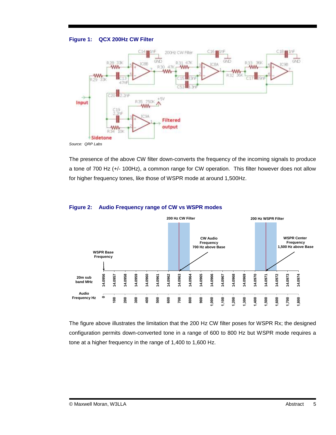#### <span id="page-4-0"></span>**Figure 1: QCX 200Hz CW Filter**



The presence of the above CW filter down-converts the frequency of the incoming signals to produce a tone of 700 Hz (+/- 100Hz), a common range for CW operation. This filter however does not allow for higher frequency tones, like those of WSPR mode at around 1,500Hz.



#### <span id="page-4-1"></span>**Figure 2: Audio Frequency range of CW vs WSPR modes**

The figure above illustrates the limitation that the 200 Hz CW filter poses for WSPR Rx; the designed configuration permits down-converted tone in a range of 600 to 800 Hz but WSPR mode requires a tone at a higher frequency in the range of 1,400 to 1,600 Hz.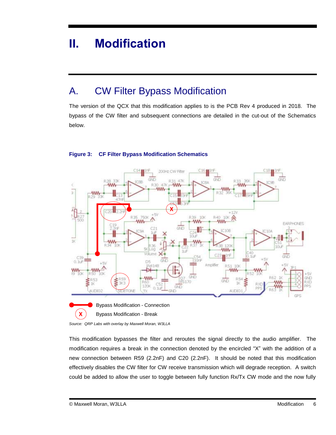## <span id="page-5-0"></span>**II. Modification**

### <span id="page-5-1"></span>A. CW Filter Bypass Modification

The version of the QCX that this modification applies to is the PCB Rev 4 produced in 2018. The bypass of the CW filter and subsequent connections are detailed in the cut-out of the Schematics below.



#### <span id="page-5-2"></span>**Figure 3: CF Filter Bypass Modification Schematics**

*Source: QRP Labs with overlay by Maxwell Moran, W3LLA*

This modification bypasses the filter and reroutes the signal directly to the audio amplifier. The modification requires a break in the connection denoted by the encircled "X" with the addition of a new connection between R59 (2.2nF) and C20 (2.2nF). It should be noted that this modification effectively disables the CW filter for CW receive transmission which will degrade reception. A switch could be added to allow the user to toggle between fully function Rx/Tx CW mode and the now fully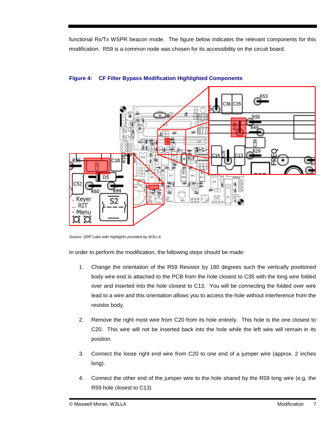functional Rx/Tx WSPR beacon mode. The figure below indicates the relevant components for this modification. R59 is a common node was chosen for its accessibility on the circuit board.



#### <span id="page-6-0"></span>**Figure 4: CF Filter Bypass Modification Highlighted Components**

*Source: QRP Labs with highlights provided by W3LLA*

In order to perform the modification, the following steps should be made:

- 1. Change the orientation of the R59 Resistor by 180 degrees such the vertically positioned body wire end is attached to the PCB from the hole closest to C35 with the long wire folded over and inserted into the hole closest to C13. You will be connecting the folded over wire lead to a wire and this orientation allows you to access the hole without interference from the resistor body.
- 2. Remove the right most wire from C20 from its hole entirely. This hole is the one closest to C20. This wire will not be inserted back into the hole while the left wire will remain in its position.
- 3. Connect the loose right end wire from C20 to one end of a jumper wire (approx. 2 inches long).
- 4. Connect the other end of the jumper wire to the hole shared by the R59 long wire (e.g. the R59 hole closest to C13)